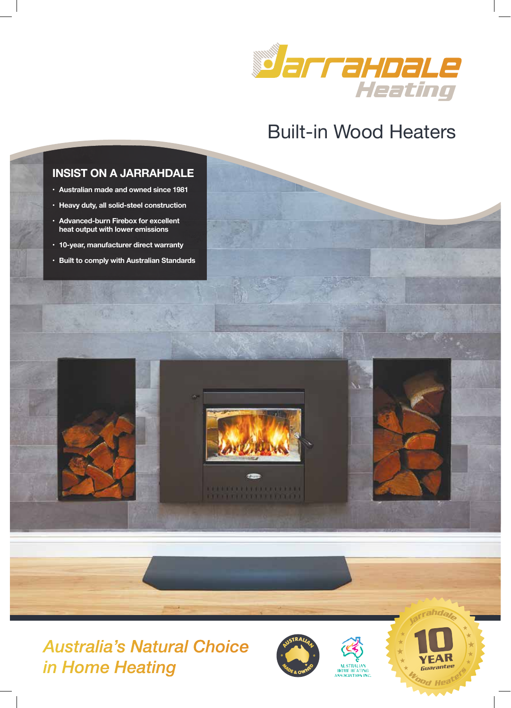

# Built-in Wood Heaters

# **INSIST ON A JARRAHDALE**

- $\cdot$  Australian made and owned since 1981
- **Heavy duty, all solid-steel construction**
- **Advanced-burn Firebox for excellent**  $\blacksquare$  **heat output with lower emissions**
- **10-year, manufacturer direct warranty**
- **Built to comply with Australian Standards**





**CONTRACTOR IN A REPORT OF A ST** 1717 TTTTTTTTTTTT



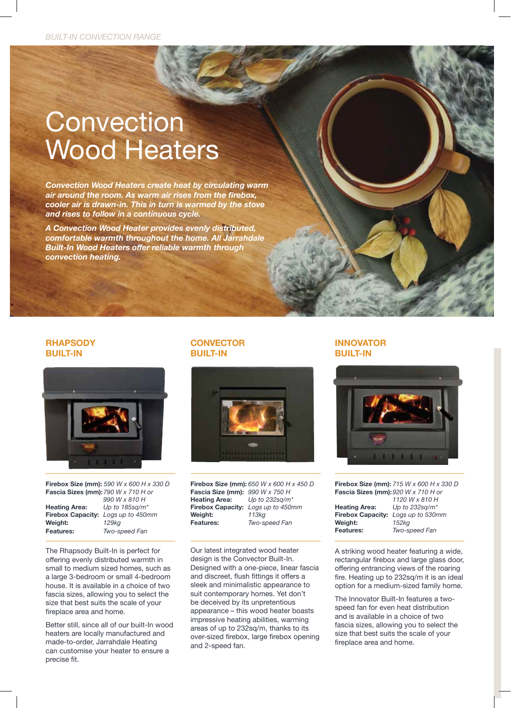# **Convection** Wood Heaters

*Convection Wood Heaters create heat by circulating warm*  air around the room. As warm air rises from the firebox, *cooler air is drawn-in. This in turn is warmed by the stove and rises to follow in a continuous cycle.* 

A Convection Wood Heater provides evenly distributed, *comfortable warmth throughout the home. All Jarrahdale*  **Built-In Wood Heaters offer reliable warmth through** *convection heating.*

### **RHAPSODY BUILT-IN**



**Firebox Size (mm):** 590 W x 600 H x 330 D **Fascia Sizes (mm):** 790 W x 710 H or *990 W x 810 H*<br>*Heating Area: Up to 185sq/m* **Heating Area:** Up to 185sq/m<sup>\*</sup><br>**Firebox Capacity:** Logs up to 450n **-PYLIV\_ \*HWHJP[`!** *Logs up to 450mm* **Weight: Features:** *Two-speed Fan* 

The Rhapsody Built-In is perfect for offering evenly distributed warmth in small to medium sized homes, such as a large 3-bedroom or small 4-bedroom house. It is available in a choice of two fascia sizes, allowing you to select the size that best suits the scale of your fireplace area and home.

Better still, since all of our built-In wood heaters are locally manufactured and made-to-order, Jarrahdale Heating can customise your heater to ensure a precise fit.

#### **CONVECTOR BUILT-IN**



**Firebox Size (mm):** 650 W x 600 H x 450 D **Fascia Size (mm):** 990 W x 750 H<br>**Heating Area:** Up to 232sq/m  $Up$  to 232sq/m<sup>\*</sup> **Firebox Capacity:** Logs up to 450mm<br>**Weight:** 113kg **Weight:**<br>Features: **-LH[\YLZ!** *Two-speed Fan*

Our latest integrated wood heater design is the Convector Built-In. Designed with a one-piece, linear fascia and discreet, flush fittings it offers a sleek and minimalistic appearance to suit contemporary homes. Yet don't be deceived by its unpretentious appearance - this wood heater boasts impressive heating abilities, warming areas of up to 232sq/m, thanks to its over-sized firebox, large firebox opening and 2-speed fan.

#### **INNOVATOR BUILT-IN**



**Firebox Size (mm):** 715 W x 600 H x 330 D **Fascia Sizes (mm):** 920 W x 710 H or  *1120 W x 810 H* 

**-PYLIV\_ \*HWHJP[`!** *Logs up to 530mm*

|                                   | 11 L V V V A U I V I I |
|-----------------------------------|------------------------|
| <b>Heating Area:</b>              | Up to 232sq/m*         |
| Firebox Capacity: Logs up to 530n |                        |
| Weight:                           | 152ka                  |
| <b>Features:</b>                  | Two-speed Fan          |
|                                   |                        |

A striking wood heater featuring a wide, rectangular firebox and large glass door, offering entrancing views of the roaring fire. Heating up to 232sq/m it is an ideal option for a medium-sized family home.

The Innovator Built-In features a twospeed fan for even heat distribution and is available in a choice of two fascia sizes, allowing you to select the size that best suits the scale of your fireplace area and home.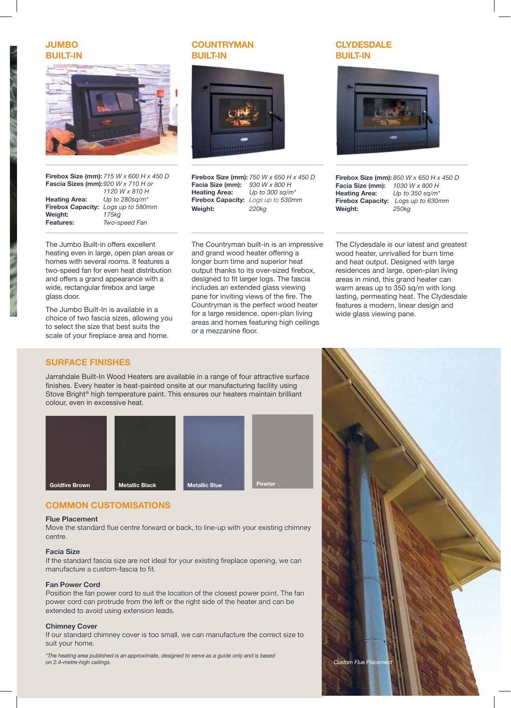**JUMBO BUILT-IN** 



**Firebox Size (mm):** 715 W x 600 H x 450 D **Fascia Sizes (mm):**920 W x 710 H or

| <b>Heating Area:</b>   |
|------------------------|
| <b>Firebox Capacit</b> |
| Weight:                |
| Features:              |

 *1120 W x 810 H*  **/LH[PUN (YLH!** *Up to 280sq/m\** **-PYLIV\_ \*HWHJP[`!** *Logs up to 580mm* **>LPNO[!** *175kg* **-LH[\YLZ!** *Two-speed Fan*

The Jumbo Built-in offers excellent heating even in large, open plan areas or homes with several rooms. It features a two-speed fan for even heat distribution and offers a grand appearance with a wide, rectangular firebox and large glass door.

The Jumbo Built-In is available in a choice of two fascia sizes, allowing you to select the size that best suits the scale of your fireplace area and home.

## **COUNTRYMAN BUILT-IN**



**Firebox Size (mm):** 750 W x 650 H x 450 D<br>**Facia Size (mm):** 930 W x 800 H **Facia Size (mm): Heating Area:** Up to 300 sq/m<sup>\*</sup> Firebox Capacity: Logs up to 530mm **>LPNO[!** *220kg*

The Countryman built-in is an impressive and grand wood heater offering a longer burn time and superior heat output thanks to its over-sized firebox, designed to fit larger logs. The fascia includes an extended glass viewing pane for inviting views of the fire. The Countryman is the perfect wood heater for a large residence, open-plan living areas and homes featuring high ceilings or a mezzanine floor.

#### **CLYDESDALE BUILT-IN**



**Firebox Size (mm):** 850 W x 650 H x 450 D<br>**Facia Size (mm):** 1030 W x 800 H **Facia Size (mm):**<br>Heating Area:  $Up$  to 350 sq/m<sup>\*</sup> **Firebox Capacity:** Logs up to 630mm **>LPNO[!** *250kg*

The Clydesdale is our latest and greatest wood heater, unrivalled for burn time and heat output. Designed with large residences and large, open-plan living areas in mind, this grand heater can warm areas up to 350 sq/m with long lasting, permeating heat. The Clydesdale features a modern, linear design and wide glass viewing pane.

#### **SURFACE FINISHES**

Jarrahdale Built-In Wood Heaters are available in a range of four attractive surface finishes. Every heater is heat-painted onsite at our manufacturing facility using Stove Bright® high temperature paint. This ensures our heaters maintain brilliant colour, even in excessive heat.



#### **COMMON CUSTOMISATIONS**

#### **Flue Placement**

Move the standard flue centre forward or back, to line-up with your existing chimney centre.

#### **Facia Size**

If the standard fascia size are not ideal for your existing fireplace opening, we can manufacture a custom-fascia to fit.

#### **Fan Power Cord**

Position the fan power cord to suit the location of the closest power point. The fan power cord can protrude from the left or the right side of the heater and can be extended to avoid using extension leads.

#### **Chimney Cover**

If our standard chimney cover is too small, we can manufacture the correct size to suit your home.

*\*The heating area published is an approximate, designed to serve as a guide only and is based on 2.4-metre-high ceilings.*